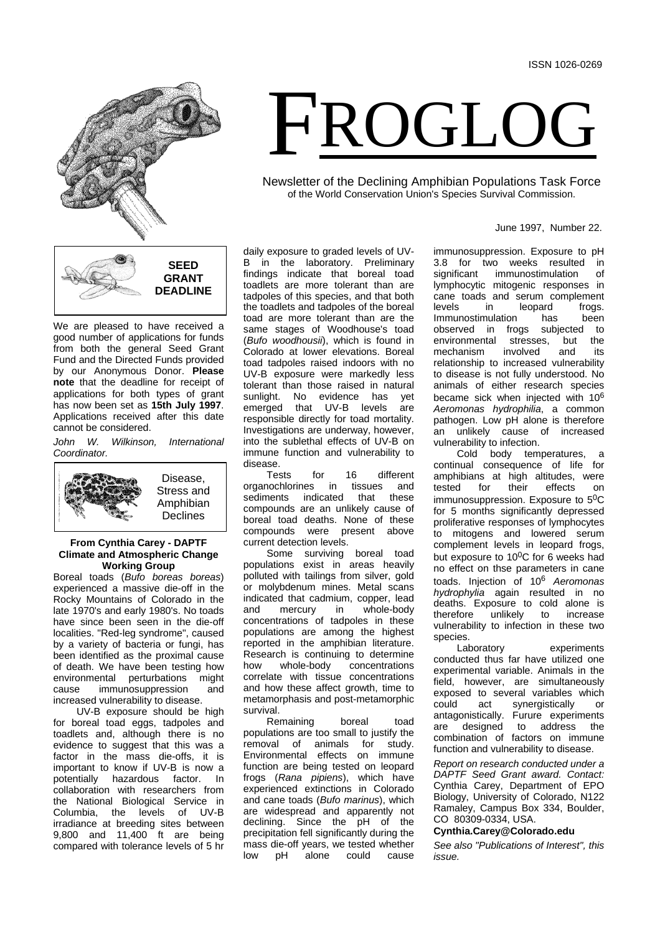

We are pleased to have received a good number of applications for funds from both the general Seed Grant Fund and the Directed Funds provided by our Anonymous Donor. **Please note** that the deadline for receipt of applications for both types of grant has now been set as **15th July 1997**. Applications received after this date cannot be considered.

*John W. Wilkinson, International Coordinator.*



### **From Cynthia Carey - DAPTF Climate and Atmospheric Change Working Group**

Boreal toads (*Bufo boreas boreas*) experienced a massive die-off in the Rocky Mountains of Colorado in the late 1970's and early 1980's. No toads have since been seen in the die-off localities. "Red-leg syndrome", caused by a variety of bacteria or fungi, has been identified as the proximal cause of death. We have been testing how<br>environmental perturbations might environmental perturbations cause immunosuppression and increased vulnerability to disease.

UV-B exposure should be high for boreal toad eggs, tadpoles and toadlets and, although there is no evidence to suggest that this was a factor in the mass die-offs, it is important to know if UV-B is now a<br>potentially hazardous factor. In factor. In collaboration with researchers from the National Biological Service in<br>Columbia, the levels of UV-B Columbia, the irradiance at breeding sites between 9,800 and 11,400 ft are being compared with tolerance levels of 5 hr

daily exposure to graded levels of UV-<br>B in the laboratory Preliminary in the laboratory. Preliminary findings indicate that boreal toad toadlets are more tolerant than are tadpoles of this species, and that both the toadlets and tadpoles of the boreal toad are more tolerant than are the same stages of Woodhouse's toad (*Bufo woodhousii*), which is found in Colorado at lower elevations. Boreal toad tadpoles raised indoors with no UV-B exposure were markedly less tolerant than those raised in natural sunlight. No evidence has yet<br>emerged that UV-B levels are emerged that UV-B levels responsible directly for toad mortality. Investigations are underway, however, into the sublethal effects of UV-B on immune function and vulnerability to

disease.<br>Tests for 16 different<br>s in tissues and organochlorines in tissues and<br>sediments indicated that these sediments indicated compounds are an unlikely cause of boreal toad deaths. None of these<br>compounds were present above were present above current detection levels.

Some surviving boreal toad populations exist in areas heavily polluted with tailings from silver, gold or molybdenum mines. Metal scans indicated that cadmium, copper, lead<br>and mercury in whole-body whole-body concentrations of tadpoles in these populations are among the highest reported in the amphibian literature. Research is continuing to determine<br>how whole-body concentrations how whole-body concentrations correlate with tissue concentrations and how these affect growth, time to metamorphasis and post-metamorphic survival.

Remaining boreal toad populations are too small to justify the removal of animals for study. Environmental effects on immune function are being tested on leopard frogs (*Rana pipiens*), which have experienced extinctions in Colorado and cane toads (*Bufo marinus*), which are widespread and apparently not declining. Since the pH of the precipitation fell significantly during the mass die-off years, we tested whether<br>low pH alone could cause low pH alone could cause

FROGLOG

Newsletter of the Declining Amphibian Populations Task Force of the World Conservation Union's Species Survival Commission.

#### June 1997, Number 22.

immunosuppression. Exposure to pH 3.8 for two weeks resulted in significant immunostimulation of immunostimulation lymphocytic mitogenic responses in cane toads and serum complement<br>levels in leopard frogs. leopard frogs.<br>has been Immunostimulation<br>observed in frogs subjected to<br>as, but the environmental stresses, but the<br>mechanism involved and its mechanism relationship to increased vulnerability to disease is not fully understood. No animals of either research species became sick when injected with 10<sup>6</sup> *Aeromonas hydrophilia*, a common pathogen. Low pH alone is therefore an unlikely cause of increased vulnerability to infection.

Cold body temperatures, a continual consequence of life for amphibians at high altitudes, were<br>tested for their effects on effects on immunosuppression. Exposure to 5<sup>0</sup>C for 5 months significantly depressed proliferative responses of lymphocytes to mitogens and lowered serum complement levels in leopard frogs, but exposure to  $10^{0}$ C for 6 weeks had no effect on thse parameters in cane toads. Injection of 10<sup>6</sup> *Aeromonas hydrophylia* again resulted in no deaths. Exposure to cold alone is<br>therefore unlikely to increase unlikely to increase vulnerability to infection in these two

species.<br>Laboratory experiments conducted thus far have utilized one experimental variable. Animals in the field, however, are simultaneously exposed to several variables which<br>could act synergistically or synergistically antagonistically. Furure experiments<br>are designed to address the to address the combination of factors on immune function and vulnerability to disease.

*Report on research conducted under a DAPTF Seed Grant award. Contact:* Cynthia Carey, Department of EPO Biology, University of Colorado, N122 Ramaley, Campus Box 334, Boulder, CO 80309-0334, USA.

#### **Cynthia.Carey@Colorado.edu**

*See also "Publications of Interest", this issue.*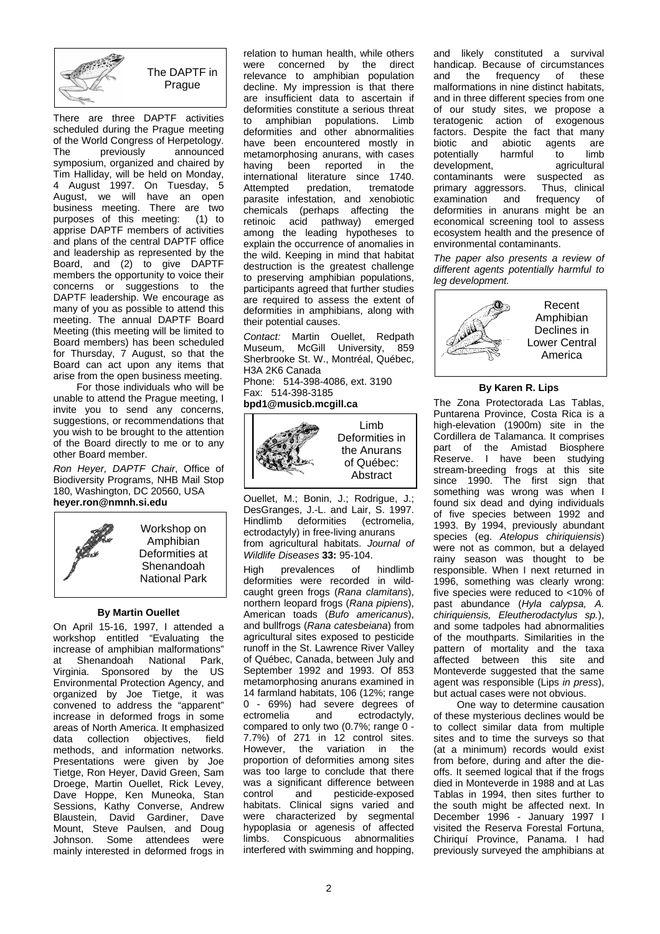

The DAPTF in **Prague** 

There are three DAPTF activities scheduled during the Prague meeting of the World Congress of Herpetology.<br>The previously announced The previously announced symposium, organized and chaired by Tim Halliday, will be held on Monday, 4 August 1997. On Tuesday, 5 August, we will have an open business meeting. There are two<br>purposes of this meeting: (1) to purposes of this meeting: apprise DAPTF members of activities and plans of the central DAPTF office and leadership as represented by the Board, and (2) to give DAPTF members the opportunity to voice their concerns or suggestions to the DAPTF leadership. We encourage as many of you as possible to attend this meeting. The annual DAPTF Board Meeting (this meeting will be limited to Board members) has been scheduled for Thursday, 7 August, so that the Board can act upon any items that arise from the open business meeting.

For those individuals who will be unable to attend the Prague meeting, I invite you to send any concerns, suggestions, or recommendations that you wish to be brought to the attention of the Board directly to me or to any other Board member.

*Ron Heyer, DAPTF Chair*, Office of Biodiversity Programs, NHB Mail Stop 180, Washington, DC 20560, USA **heyer.ron@nmnh.si.edu**



Workshop on Amphibian Deformities at Shenandoah National Park

### **By Martin Ouellet**

On April 15-16, 1997, I attended a workshop entitled "Evaluating the increase of amphibian malformations" at Shenandoah National Park, Virginia. Sponsored by the US Environmental Protection Agency, and organized by Joe Tietge, it was convened to address the "apparent" increase in deformed frogs in some areas of North America. It emphasized data collection objectives, field methods, and information networks. Presentations were given by Joe Tietge, Ron Heyer, David Green, Sam Droege, Martin Ouellet, Rick Levey, Dave Hoppe, Ken Muneoka, Stan Sessions, Kathy Converse, Andrew<br>Blaustein. David Gardiner. Dave Blaustein, David Gardiner, Mount, Steve Paulsen, and Doug Johnson. Some attendees were mainly interested in deformed frogs in

relation to human health, while others were concerned by the direct relevance to amphibian population decline. My impression is that there are insufficient data to ascertain if deformities constitute a serious threat<br>to amphibian populations. Limb to amphibian populations. Limb deformities and other abnormalities have been encountered mostly in metamorphosing anurans, with cases having been reported in the international literature since 1740.<br>Attempted predation. trematode predation, parasite infestation, and xenobiotic chemicals (perhaps affecting the retinoic acid pathway) emerged among the leading hypotheses to explain the occurrence of anomalies in the wild. Keeping in mind that habitat destruction is the greatest challenge to preserving amphibian populations, participants agreed that further studies are required to assess the extent of deformities in amphibians, along with their potential causes.

*Contact:* Martin Ouellet, Redpath Museum, McGill University, 859 Sherbrooke St. W., Montréal, Québec, H3A 2K6 Canada Phone: 514-398-4086, ext. 3190

Fax: 514-398-3185

## **bpd1@musicb.mcgill.ca**



Limb Deformities in the Anurans of Québec: Abstract

Ouellet, M.; Bonin, J.; Rodrigue, J.; DesGranges, J.-L. and Lair, S. 1997. Hindlimb deformities (ectromelia, ectrodactyly) in free-living anurans from agricultural habitats. *Journal of Wildlife Diseases* **33:** 95-104.

High prevalences of hindlimb deformities were recorded in wildcaught green frogs (*Rana clamitans*), northern leopard frogs (*Rana pipiens*), American toads (*Bufo americanus*), and bullfrogs (*Rana catesbeiana*) from agricultural sites exposed to pesticide runoff in the St. Lawrence River Valley of Québec, Canada, between July and September 1992 and 1993. Of 853 metamorphosing anurans examined in 14 farmland habitats, 106 (12%; range 0 - 69%) had severe degrees of<br>ectromelia and ectrodactyly, ectrodactyly, compared to only two (0.7%; range 0 -7.7%) of 271 in 12 control sites. However, the variation in the proportion of deformities among sites was too large to conclude that there was a significant difference between control and pesticide-exposed habitats. Clinical signs varied and were characterized by segmental hypoplasia or agenesis of affected limbs. Conspicuous abnormalities interfered with swimming and hopping,

and likely constituted a survival handicap. Because of circumstances<br>and the frequency of these frequency malformations in nine distinct habitats, and in three different species from one of our study sites, we propose a<br>teratogenic action of exogenous teratogenic action of factors. Despite the fact that many<br>biotic and abiotic agents are abiotic agents are<br>harmful to limb potentially harmful to limb<br>development. agricultural development. contaminants were suspected as<br>primary aggressors. Thus clinical primary aggressors. Thus, clinical<br>examination and frequency of examination and deformities in anurans might be an economical screening tool to assess ecosystem health and the presence of environmental contaminants.

*The paper also presents a review of different agents potentially harmful to leg development.*



## **By Karen R. Lips**

The Zona Protectorada Las Tablas, Puntarena Province, Costa Rica is a high-elevation (1900m) site in the Cordillera de Talamanca. It comprises part of the Amistad Biosphere Reserve. I have been studying stream-breeding frogs at this site since 1990. The first sign that something was wrong was when I found six dead and dying individuals of five species between 1992 and 1993. By 1994, previously abundant species (eg. *Atelopus chiriquiensis*) were not as common, but a delayed rainy season was thought to be responsible. When I next returned in 1996, something was clearly wrong: five species were reduced to <10% of past abundance (*Hyla calypsa, A. chiriquiensis, Eleutherodactylus sp.*), and some tadpoles had abnormalities of the mouthparts. Similarities in the pattern of mortality and the taxa affected between this site and Monteverde suggested that the same agent was responsible (Lips *in press*), but actual cases were not obvious.

One way to determine causation of these mysterious declines would be to collect similar data from multiple sites and to time the surveys so that (at a minimum) records would exist from before, during and after the dieoffs. It seemed logical that if the frogs died in Monteverde in 1988 and at Las Tablas in 1994, then sites further to the south might be affected next. In December 1996 - January 1997 I visited the Reserva Forestal Fortuna, Chiriquí Province, Panama. I had previously surveyed the amphibians at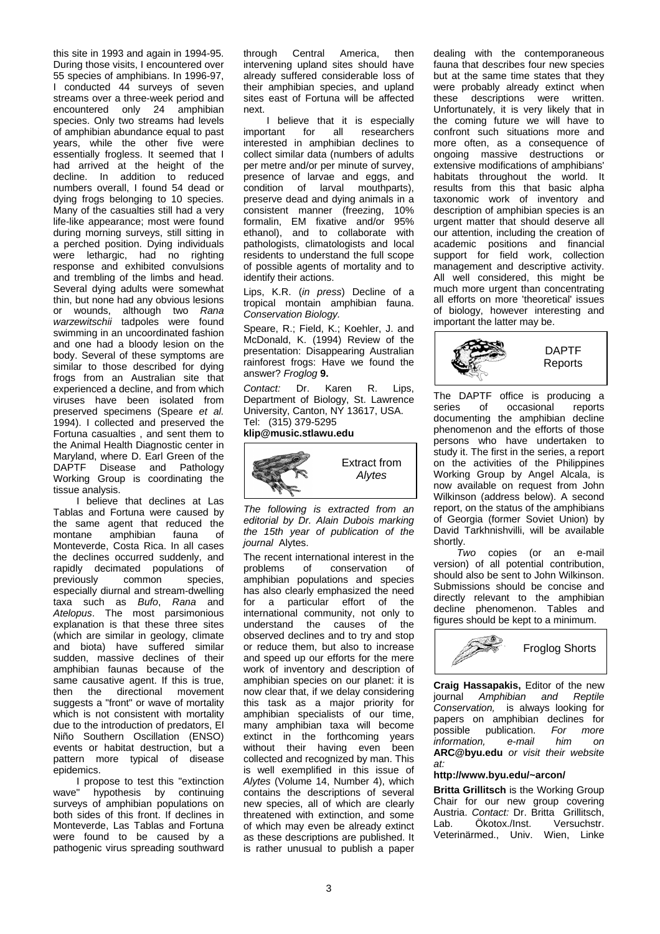this site in 1993 and again in 1994-95. During those visits, I encountered over 55 species of amphibians. In 1996-97,

I conducted 44 surveys of seven streams over a three-week period and encountered only 24 amphibian species. Only two streams had levels of amphibian abundance equal to past years, while the other five were essentially frogless. It seemed that I had arrived at the height of the decline. In addition to reduced numbers overall, I found 54 dead or dying frogs belonging to 10 species. Many of the casualties still had a very life-like appearance; most were found during morning surveys, still sitting in a perched position. Dying individuals were lethargic, had no righting response and exhibited convulsions and trembling of the limbs and head. Several dying adults were somewhat thin, but none had any obvious lesions or wounds, although two *Rana warzewitschii* tadpoles were found swimming in an uncoordinated fashion and one had a bloody lesion on the body. Several of these symptoms are similar to those described for dying frogs from an Australian site that experienced a decline, and from which viruses have been isolated from preserved specimens (Speare *et al.* 1994). I collected and preserved the Fortuna casualties , and sent them to the Animal Health Diagnostic center in Maryland, where D. Earl Green of the DAPTF Disease and Pathology Working Group is coordinating the tissue analysis.

I believe that declines at Las Tablas and Fortuna were caused by the same agent that reduced the<br>montane amphibian fauna of amphibian fauna of Monteverde, Costa Rica. In all cases the declines occurred suddenly, and rapidly decimated populations of<br>previously common species, previously especially diurnal and stream-dwelling taxa such as *Bufo*, *Rana* and *Atelopus*. The most parsimonious explanation is that these three sites (which are similar in geology, climate and biota) have suffered similar sudden, massive declines of their amphibian faunas because of the same causative agent. If this is true,<br>then the directional movement directional movement suggests a "front" or wave of mortality which is not consistent with mortality due to the introduction of predators, El Niño Southern Oscillation (ENSO) events or habitat destruction, but a pattern more typical of disease epidemics.

I propose to test this "extinction wave" hypothesis by continuing surveys of amphibian populations on both sides of this front. If declines in Monteverde, Las Tablas and Fortuna were found to be caused by a pathogenic virus spreading southward through Central America, then intervening upland sites should have already suffered considerable loss of their amphibian species, and upland sites east of Fortuna will be affected next.

I believe that it is especially<br>important for all researchers researchers interested in amphibian declines to collect similar data (numbers of adults per metre and/or per minute of survey, presence of larvae and eggs, and condition of larval mouthparts), preserve dead and dying animals in a consistent manner (freezing, 10% formalin, EM fixative and/or 95% ethanol), and to collaborate with pathologists, climatologists and local residents to understand the full scope of possible agents of mortality and to identify their actions.

Lips, K.R. (*in press*) Decline of a tropical montain amphibian fauna. *Conservation Biology.*

Speare, R.; Field, K.; Koehler, J. and McDonald, K. (1994) Review of the presentation: Disappearing Australian rainforest frogs: Have we found the answer? *Froglog* **9.**

*Contact:* Dr. Karen R. Lips, Department of Biology, St. Lawrence University, Canton, NY 13617, USA. Tel: (315) 379-5295

**klip@music.stlawu.edu**



*The following is extracted from an editorial by Dr. Alain Dubois marking the 15th year of publication of the journal* Alytes.

The recent international interest in the<br>problems of conservation of conservation amphibian populations and species has also clearly emphasized the need for a particular effort of the international community, not only to understand the causes of the observed declines and to try and stop or reduce them, but also to increase and speed up our efforts for the mere work of inventory and description of amphibian species on our planet: it is now clear that, if we delay considering this task as a major priority for amphibian specialists of our time, many amphibian taxa will become extinct in the forthcoming years without their having even been collected and recognized by man. This is well exemplified in this issue of *Alytes* (Volume 14, Number 4), which contains the descriptions of several new species, all of which are clearly threatened with extinction, and some of which may even be already extinct as these descriptions are published. It is rather unusual to publish a paper

dealing with the contemporaneous fauna that describes four new species but at the same time states that they were probably already extinct when these descriptions were written. Unfortunately, it is very likely that in the coming future we will have to confront such situations more and more often, as a consequence of ongoing massive destructions or extensive modifications of amphibians' habitats throughout the world. It results from this that basic alpha taxonomic work of inventory and description of amphibian species is an urgent matter that should deserve all our attention, including the creation of academic positions and financial support for field work, collection management and descriptive activity. All well considered, this might be much more urgent than concentrating all efforts on more 'theoretical' issues of biology, however interesting and important the latter may be.



The DAPTF office is producing a<br>series of occasional reports series of occasional reports documenting the amphibian decline phenomenon and the efforts of those persons who have undertaken to study it. The first in the series, a report on the activities of the Philippines Working Group by Angel Alcala, is now available on request from John Wilkinson (address below). A second report, on the status of the amphibians of Georgia (former Soviet Union) by David Tarkhnishvilli, will be available shortly.

*Two* copies (or an e-mail version) of all potential contribution, should also be sent to John Wilkinson. Submissions should be concise and directly relevant to the amphibian decline phenomenon. Tables and figures should be kept to a minimum.



**Craig Hassapakis,** Editor of the new journal *Amphibian and Reptile Conservation,* is always looking for papers on amphibian declines for<br>possible publication. For more publication. *For more*<br>*n. e-mail him on information.* **ARC@byu.edu** *or visit their website at:*

## **http://www.byu.edu/~arcon/**

**Britta Grillitsch** is the Working Group Chair for our new group covering Austria. *Contact:* Dr. Britta Grillitsch,<br>Lab. Ökotox./Inst. Versuchstr. Lab. Ökotox./Inst. Veterinärmed., Univ. Wien, Linke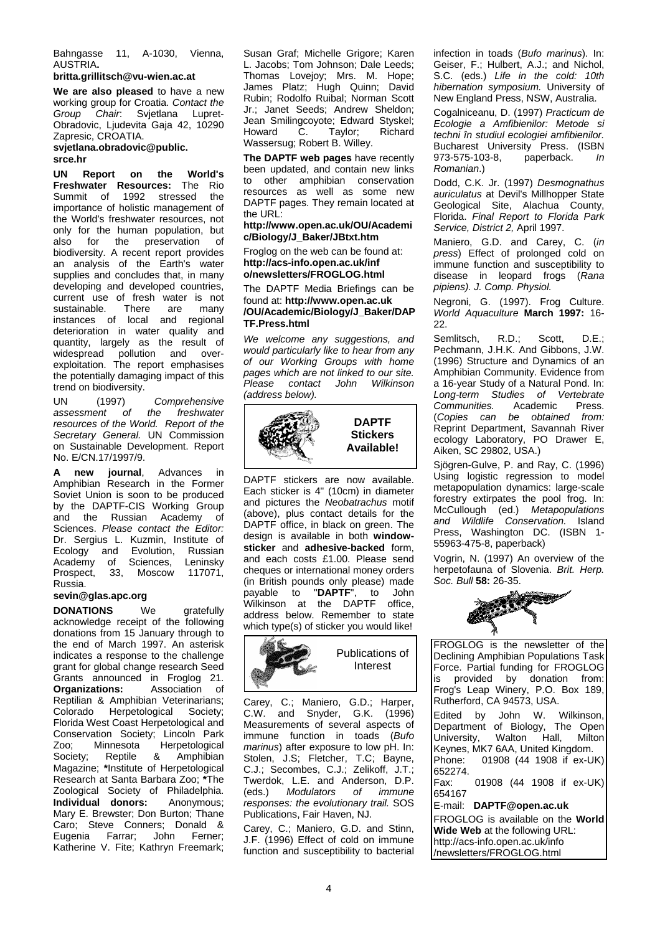Bahngasse 11, A-1030, Vienna, AUSTRIA**.**

## **britta.grillitsch@vu-wien.ac.at**

**We are also pleased** to have a new working group for Croatia. *Contact the Group Chair*: Svjetlana Lupret-Obradovic, Ljudevita Gaja 42, 10290 Zapresic, CROATIA.

### **svjetlana.obradovic@public. srce.hr**

**UN Report on the World's Freshwater Resources:** The Rio 1992 stressed the importance of holistic management of the World's freshwater resources, not only for the human population, but<br>also for the preservation of also for the preservation of biodiversity. A recent report provides an analysis of the Earth's water supplies and concludes that, in many developing and developed countries, current use of fresh water is not<br>sustainable. There are many sustainable. instances of local and regional deterioration in water quality and quantity, largely as the result of widespread pollution and overexploitation. The report emphasises the potentially damaging impact of this trend on biodiversity.

UN (1997) *Comprehensive*   $assessment$ *resources of the World. Report of the Secretary General.* UN Commission on Sustainable Development. Report No. E/CN.17/1997/9.

**new journal**, Advances in Amphibian Research in the Former Soviet Union is soon to be produced by the DAPTF-CIS Working Group<br>and the Russian Academy of Academy of Sciences. *Please contact the Editor:*  Dr. Sergius L. Kuzmin, Institute of<br>Ecology and Evolution. Russian Ecology and Evolution, Russian<br>Academy of Sciences, Leninsky Academy of Sciences, Leninsky<br>Prospect. 33. Moscow 117071. 33. Moscow Russia.

# **sevin@glas.apc.org**

**DONATIONS** We gratefully acknowledge receipt of the following donations from 15 January through to the end of March 1997. An asterisk indicates a response to the challenge grant for global change research Seed Grants announced in Froglog 21.<br>**Organizations:** Association of Association of Reptilian & Amphibian Veterinarians;<br>Colorado Herpetological Society; Herpetological Florida West Coast Herpetological and Conservation Society; Lincoln Park Zoo; Minnesota Herpetological<br>Society: Reptile & Amphibian Society; Reptile & Amphibian Magazine; **\***Institute of Herpetological Research at Santa Barbara Zoo; **\***The Zoological Society of Philadelphia. **Individual donors:** Anonymous; Mary E. Brewster; Don Burton; Thane Caro; Steve Conners; Donald & Eugenia Farrar; John Ferner; Katherine V. Fite; Kathryn Freemark;

Susan Graf; Michelle Grigore; Karen L. Jacobs; Tom Johnson; Dale Leeds; Thomas Lovejoy; Mrs. M. Hope; James Platz; Hugh Quinn; David Rubin; Rodolfo Ruibal; Norman Scott Jr.; Janet Seeds; Andrew Sheldon; Jean Smilingcoyote; Edward Styskel;<br>Howard C. Tavlor: Richard C. Taylor: Wassersug; Robert B. Willey.

**The DAPTF web pages** have recently been updated, and contain new links to other amphibian conservation resources as well as some new DAPTF pages. They remain located at the URL:

### **http://www.open.ac.uk/OU/Academi c/Biology/J\_Baker/JBtxt.htm**

Froglog on the web can be found at: **http://acs-info.open.ac.uk/inf o/newsletters/FROGLOG.html**

The DAPTF Media Briefings can be found at: **http://www.open.ac.uk /OU/Academic/Biology/J\_Baker/DAP TF.Press.html**

*We welcome any suggestions, and would particularly like to hear from any of our Working Groups with home pages which are not linked to our site. Please contact John Wilkinson (address below).*



DAPTF stickers are now available. Each sticker is 4" (10cm) in diameter and pictures the *Neobatrachus* motif (above), plus contact details for the DAPTF office, in black on green. The design is available in both **windowsticker** and **adhesive-backed** form, and each costs £1.00. Please send cheques or international money orders (in British pounds only please) made<br>pavable to " $\mathbf{DAPTF}^n$  to John payable to "DAPTF", to Wilkinson at the DAPTF office, address below. Remember to state which type(s) of sticker you would like!



Carey, C.; Maniero, G.D.; Harper, C.W. and Snyder, G.K. (1996) Measurements of several aspects of immune function in toads (*Bufo marinus*) after exposure to low pH. In: Stolen, J.S; Fletcher, T.C; Bayne, C.J.; Secombes, C.J.; Zelikoff, J.T.; Twerdok, L.E. and Anderson, D.P.<br>(eds.) Modulators of immune (eds.) *Modulators responses: the evolutionary trail.* SOS Publications, Fair Haven, NJ.

Carey, C.; Maniero, G.D. and Stinn, J.F. (1996) Effect of cold on immune function and susceptibility to bacterial infection in toads (*Bufo marinus*). In: Geiser, F.; Hulbert, A.J.; and Nichol, S.C. (eds.) *Life in the cold: 10th hibernation symposium.* University of New England Press, NSW, Australia.

Cogalniceanu, D. (1997) *Practicum de Ecologie a Amfibienilor: Metode si techni în studiul ecologiei amfibienilor.* Bucharest University Press. (ISBN<br>973-575-103-8, paperback. In 973-575-103-8, paperback. *In Romanian*.)

Dodd, C.K. Jr. (1997) *Desmognathus auriculatus* at Devil's Millhopper State Geological Site, Alachua County, Florida. *Final Report to Florida Park Service, District 2,* April 1997.

Maniero, G.D. and Carey, C. (*in press*) Effect of prolonged cold on immune function and susceptibility to disease in leopard frogs (*Rana pipiens). J. Comp. Physiol.*

Negroni, G. (1997). Frog Culture. *World Aquaculture* **March 1997:** 16- 22.

Semlitsch, R.D.; Scott, D.E.; Pechmann, J.H.K. And Gibbons, J.W. (1996) Structure and Dynamics of an Amphibian Community. Evidence from a 16-year Study of a Natural Pond. In: *Long-term Studies of Vertebrate Communities.*<br>(Copies can (*Copies can be obtained from:* Reprint Department, Savannah River ecology Laboratory, PO Drawer E, Aiken, SC 29802, USA.)

Siögren-Gulve, P. and Ray, C. (1996) Using logistic regression to model metapopulation dynamics: large-scale forestry extirpates the pool frog. In: McCullough (ed.) *Metapopulations and Wildlife Conservation.* Island Press, Washington DC. (ISBN 1- 55963-475-8, paperback)

Vogrin, N. (1997) An overview of the herpetofauna of Slovenia. *Brit. Herp. Soc. Bull* **58:** 26-35.



FROGLOG is the newsletter of the Declining Amphibian Populations Task Force. Partial funding for FROGLOG<br>is provided by donation from: provided by donation from: Frog's Leap Winery, P.O. Box 189, Rutherford, CA 94573, USA.

Edited by John W. Wilkinson, Department of Biology, The Open University, Walton Hall, Milton Keynes, MK7 6AA, United Kingdom.<br>Phone: 01908 (44 1908 if ex-Ul 01908 (44 1908 if ex-UK) 652274.<br>Fax:

01908 (44 1908 if ex-UK) 654167

E-mail: **DAPTF@open.ac.uk**

FROGLOG is available on the **World Wide Web** at the following URL: http://acs-info.open.ac.uk/info /newsletters/FROGLOG.html